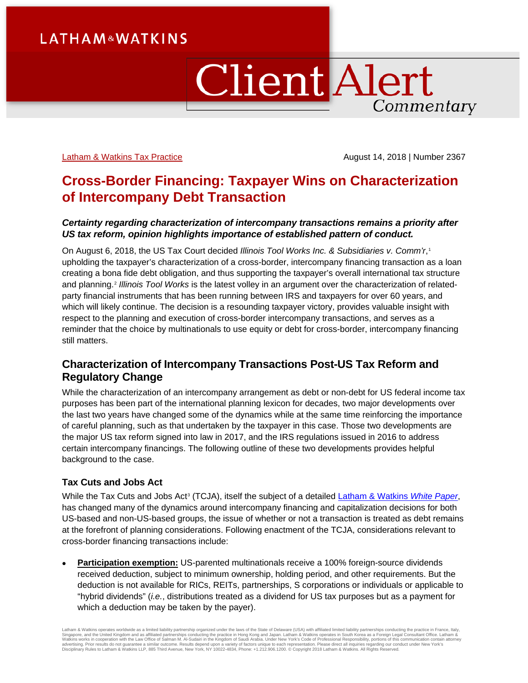# ClientAlert Commentary

[Latham & Watkins Tax](https://www.lw.com/practices/Tax) Practice **August 14, 2018** | Number 2367

## **Cross-Border Financing: Taxpayer Wins on Characterization of Intercompany Debt Transaction**

## *Certainty regarding characterization of intercompany transactions remains a priority after US tax reform, opinion highlights importance of established pattern of conduct.*

On August 6, 2018, the US Tax Court decided *Illinois Tool Works Inc. & Subsidiaries v. Comm'r*,[1](#page-5-0) upholding the taxpayer's characterization of a cross-border, intercompany financing transaction as a loan creating a bona fide debt obligation, and thus supporting the taxpayer's overall international tax structure and planning. [2](#page-5-1) *Illinois Tool Works* is the latest volley in an argument over the characterization of relatedparty financial instruments that has been running between IRS and taxpayers for over 60 years, and which will likely continue. The decision is a resounding taxpayer victory, provides valuable insight with respect to the planning and execution of cross-border intercompany transactions, and serves as a reminder that the choice by multinationals to use equity or debt for cross-border, intercompany financing still matters.

## **Characterization of Intercompany Transactions Post-US Tax Reform and Regulatory Change**

While the characterization of an intercompany arrangement as debt or non-debt for US federal income tax purposes has been part of the international planning lexicon for decades, two major developments over the last two years have changed some of the dynamics while at the same time reinforcing the importance of careful planning, such as that undertaken by the taxpayer in this case. Those two developments are the major US tax reform signed into law in 2017, and the IRS regulations issued in 2016 to address certain intercompany financings. The following outline of these two developments provides helpful background to the case.

## **Tax Cuts and Jobs Act**

While the Tax Cuts and Jobs Act<sup>[3](#page-5-2)</sup> (TCJA), itself the subject of a detailed [Latham & Watkins](https://www.lw.com/thoughtLeadership/US-tax-reform-key-business-impacts-charts-transactional-diagrams) *White Paper*, has changed many of the dynamics around intercompany financing and capitalization decisions for both US-based and non-US-based groups, the issue of whether or not a transaction is treated as debt remains at the forefront of planning considerations. Following enactment of the TCJA, considerations relevant to cross-border financing transactions include:

**Participation exemption:** US-parented multinationals receive a 100% foreign-source dividends received deduction, subject to minimum ownership, holding period, and other requirements. But the deduction is not available for RICs, REITs, partnerships, S corporations or individuals or applicable to "hybrid dividends" (*i.e.*, distributions treated as a dividend for US tax purposes but as a payment for which a deduction may be taken by the payer).

Latham & Watkins operates worldwide as a limited liability partnership organized under the laws of the State of Delaware (USA) with affiliated limited liability partnerships conducting the practice in France, Italy Singapore, and the United Kingdom and as affiliated partnerships conducting the practice in Hong Kong and Japan. Latham & Watkins operates in South Korea as a Foreign Legal Consultant Office. Latham &<br>Watkins works in coop Disciplinary Rules to Latham & Watkins LLP, 885 Third Avenue, New York, NY 10022-4834, Phone: +1.212.906.1200. © Copyright 2018 Latham & Watkins. All Rights Reserved.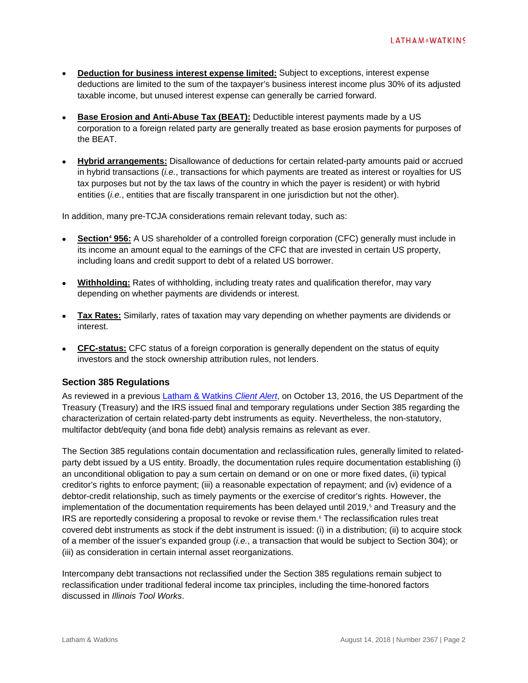- **Deduction for business interest expense limited:** Subject to exceptions, interest expense deductions are limited to the sum of the taxpayer's business interest income plus 30% of its adjusted taxable income, but unused interest expense can generally be carried forward.
- **Base Erosion and Anti-Abuse Tax (BEAT):** Deductible interest payments made by a US corporation to a foreign related party are generally treated as base erosion payments for purposes of the BEAT.
- **Hybrid arrangements:** Disallowance of deductions for certain related-party amounts paid or accrued in hybrid transactions (*i.e.*, transactions for which payments are treated as interest or royalties for US tax purposes but not by the tax laws of the country in which the payer is resident) or with hybrid entities (*i.e.*, entities that are fiscally transparent in one jurisdiction but not the other).

In addition, many pre-TCJA considerations remain relevant today, such as:

- **Section[4](#page-5-3) 956:** A US shareholder of a controlled foreign corporation (CFC) generally must include in its income an amount equal to the earnings of the CFC that are invested in certain US property, including loans and credit support to debt of a related US borrower.
- **Withholding:** Rates of withholding, including treaty rates and qualification therefor, may vary depending on whether payments are dividends or interest.
- **Tax Rates:** Similarly, rates of taxation may vary depending on whether payments are dividends or interest.
- **CFC-status:** CFC status of a foreign corporation is generally dependent on the status of equity investors and the stock ownership attribution rules, not lenders.

## **Section 385 Regulations**

As reviewed in a previous [Latham & Watkins](https://www.lw.com/thoughtLeadership/treasury-issues-final-temporary-regulations-related-party-debt-instruments) *Client Alert*, on October 13, 2016, the US Department of the Treasury (Treasury) and the IRS issued final and temporary regulations under Section 385 regarding the characterization of certain related-party debt instruments as equity. Nevertheless, the non-statutory, multifactor debt/equity (and bona fide debt) analysis remains as relevant as ever.

The Section 385 regulations contain documentation and reclassification rules, generally limited to relatedparty debt issued by a US entity. Broadly, the documentation rules require documentation establishing (i) an unconditional obligation to pay a sum certain on demand or on one or more fixed dates, (ii) typical creditor's rights to enforce payment; (iii) a reasonable expectation of repayment; and (iv) evidence of a debtor-credit relationship, such as timely payments or the exercise of creditor's rights. However, the implementation of the documentation requirements has been delayed until 2019,<sup>[5](#page-5-4)</sup> and Treasury and the IRS are reportedly considering a proposal to revoke or revise them.<sup>[6](#page-5-5)</sup> The reclassification rules treat covered debt instruments as stock if the debt instrument is issued: (i) in a distribution; (ii) to acquire stock of a member of the issuer's expanded group (*i.e.*, a transaction that would be subject to Section 304); or (iii) as consideration in certain internal asset reorganizations.

Intercompany debt transactions not reclassified under the Section 385 regulations remain subject to reclassification under traditional federal income tax principles, including the time-honored factors discussed in *Illinois Tool Works*.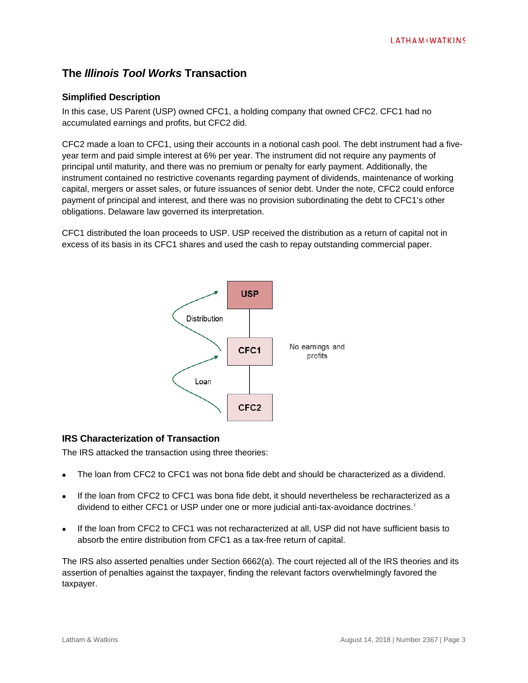## **The** *Illinois Tool Works* **Transaction**

## **Simplified Description**

In this case, US Parent (USP) owned CFC1, a holding company that owned CFC2. CFC1 had no accumulated earnings and profits, but CFC2 did.

CFC2 made a loan to CFC1, using their accounts in a notional cash pool. The debt instrument had a fiveyear term and paid simple interest at 6% per year. The instrument did not require any payments of principal until maturity, and there was no premium or penalty for early payment. Additionally, the instrument contained no restrictive covenants regarding payment of dividends, maintenance of working capital, mergers or asset sales, or future issuances of senior debt. Under the note, CFC2 could enforce payment of principal and interest, and there was no provision subordinating the debt to CFC1's other obligations. Delaware law governed its interpretation.

CFC1 distributed the loan proceeds to USP. USP received the distribution as a return of capital not in excess of its basis in its CFC1 shares and used the cash to repay outstanding commercial paper.



## **IRS Characterization of Transaction**

The IRS attacked the transaction using three theories:

- The loan from CFC2 to CFC1 was not bona fide debt and should be characterized as a dividend.
- If the loan from CFC2 to CFC1 was bona fide debt, it should nevertheless be recharacterized as a dividend to either CFC1 or USP under one or more judicial anti-tax-avoidance doctrines.<sup>[7](#page-5-6)</sup>
- If the loan from CFC2 to CFC1 was not recharacterized at all, USP did not have sufficient basis to absorb the entire distribution from CFC1 as a tax-free return of capital.

The IRS also asserted penalties under Section 6662(a). The court rejected all of the IRS theories and its assertion of penalties against the taxpayer, finding the relevant factors overwhelmingly favored the taxpayer.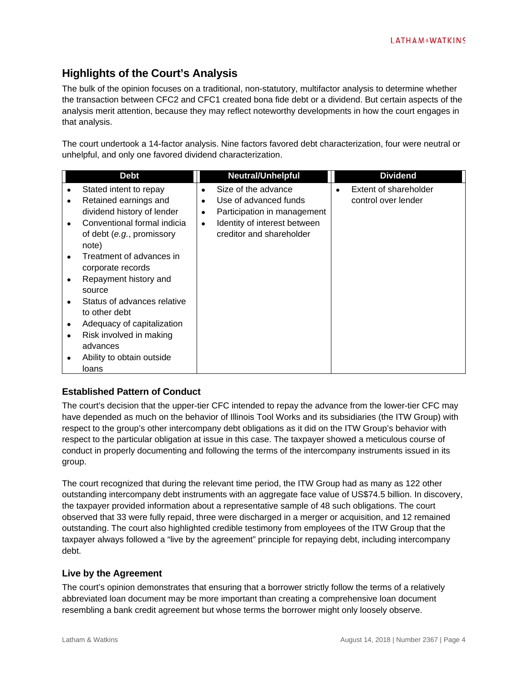## **Highlights of the Court's Analysis**

The bulk of the opinion focuses on a traditional, non-statutory, multifactor analysis to determine whether the transaction between CFC2 and CFC1 created bona fide debt or a dividend. But certain aspects of the analysis merit attention, because they may reflect noteworthy developments in how the court engages in that analysis.

The court undertook a 14-factor analysis. Nine factors favored debt characterization, four were neutral or unhelpful, and only one favored dividend characterization.

|           | Debt                        |           | <b>Neutral/Unhelpful</b>     | <b>Dividend</b>       |
|-----------|-----------------------------|-----------|------------------------------|-----------------------|
|           | Stated intent to repay      |           | Size of the advance          | Extent of shareholder |
| ٠         | Retained earnings and       |           | Use of advanced funds        | control over lender   |
|           | dividend history of lender  | ٠         | Participation in management  |                       |
| $\bullet$ | Conventional formal indicia | $\bullet$ | Identity of interest between |                       |
|           | of debt (e.g., promissory   |           | creditor and shareholder     |                       |
|           | note)                       |           |                              |                       |
| $\bullet$ | Treatment of advances in    |           |                              |                       |
|           | corporate records           |           |                              |                       |
| ٠         | Repayment history and       |           |                              |                       |
|           | source                      |           |                              |                       |
|           | Status of advances relative |           |                              |                       |
|           | to other debt               |           |                              |                       |
|           | Adequacy of capitalization  |           |                              |                       |
|           | Risk involved in making     |           |                              |                       |
|           | advances                    |           |                              |                       |
|           | Ability to obtain outside   |           |                              |                       |
|           | loans                       |           |                              |                       |

## **Established Pattern of Conduct**

The court's decision that the upper-tier CFC intended to repay the advance from the lower-tier CFC may have depended as much on the behavior of Illinois Tool Works and its subsidiaries (the ITW Group) with respect to the group's other intercompany debt obligations as it did on the ITW Group's behavior with respect to the particular obligation at issue in this case. The taxpayer showed a meticulous course of conduct in properly documenting and following the terms of the intercompany instruments issued in its group.

The court recognized that during the relevant time period, the ITW Group had as many as 122 other outstanding intercompany debt instruments with an aggregate face value of US\$74.5 billion. In discovery, the taxpayer provided information about a representative sample of 48 such obligations. The court observed that 33 were fully repaid, three were discharged in a merger or acquisition, and 12 remained outstanding. The court also highlighted credible testimony from employees of the ITW Group that the taxpayer always followed a "live by the agreement" principle for repaying debt, including intercompany debt.

## **Live by the Agreement**

The court's opinion demonstrates that ensuring that a borrower strictly follow the terms of a relatively abbreviated loan document may be more important than creating a comprehensive loan document resembling a bank credit agreement but whose terms the borrower might only loosely observe.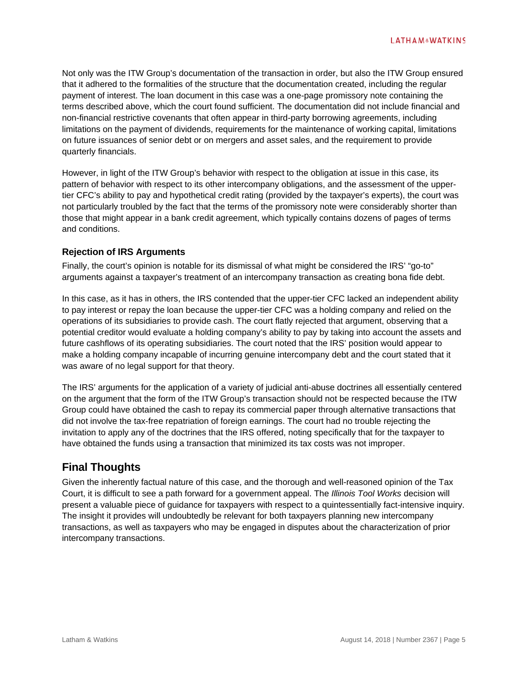Not only was the ITW Group's documentation of the transaction in order, but also the ITW Group ensured that it adhered to the formalities of the structure that the documentation created, including the regular payment of interest. The loan document in this case was a one-page promissory note containing the terms described above, which the court found sufficient. The documentation did not include financial and non-financial restrictive covenants that often appear in third-party borrowing agreements, including limitations on the payment of dividends, requirements for the maintenance of working capital, limitations on future issuances of senior debt or on mergers and asset sales, and the requirement to provide quarterly financials.

However, in light of the ITW Group's behavior with respect to the obligation at issue in this case, its pattern of behavior with respect to its other intercompany obligations, and the assessment of the uppertier CFC's ability to pay and hypothetical credit rating (provided by the taxpayer's experts), the court was not particularly troubled by the fact that the terms of the promissory note were considerably shorter than those that might appear in a bank credit agreement, which typically contains dozens of pages of terms and conditions.

### **Rejection of IRS Arguments**

Finally, the court's opinion is notable for its dismissal of what might be considered the IRS' "go-to" arguments against a taxpayer's treatment of an intercompany transaction as creating bona fide debt.

In this case, as it has in others, the IRS contended that the upper-tier CFC lacked an independent ability to pay interest or repay the loan because the upper-tier CFC was a holding company and relied on the operations of its subsidiaries to provide cash. The court flatly rejected that argument, observing that a potential creditor would evaluate a holding company's ability to pay by taking into account the assets and future cashflows of its operating subsidiaries. The court noted that the IRS' position would appear to make a holding company incapable of incurring genuine intercompany debt and the court stated that it was aware of no legal support for that theory.

The IRS' arguments for the application of a variety of judicial anti-abuse doctrines all essentially centered on the argument that the form of the ITW Group's transaction should not be respected because the ITW Group could have obtained the cash to repay its commercial paper through alternative transactions that did not involve the tax-free repatriation of foreign earnings. The court had no trouble rejecting the invitation to apply any of the doctrines that the IRS offered, noting specifically that for the taxpayer to have obtained the funds using a transaction that minimized its tax costs was not improper.

## **Final Thoughts**

Given the inherently factual nature of this case, and the thorough and well-reasoned opinion of the Tax Court, it is difficult to see a path forward for a government appeal. The *Illinois Tool Works* decision will present a valuable piece of guidance for taxpayers with respect to a quintessentially fact-intensive inquiry. The insight it provides will undoubtedly be relevant for both taxpayers planning new intercompany transactions, as well as taxpayers who may be engaged in disputes about the characterization of prior intercompany transactions.